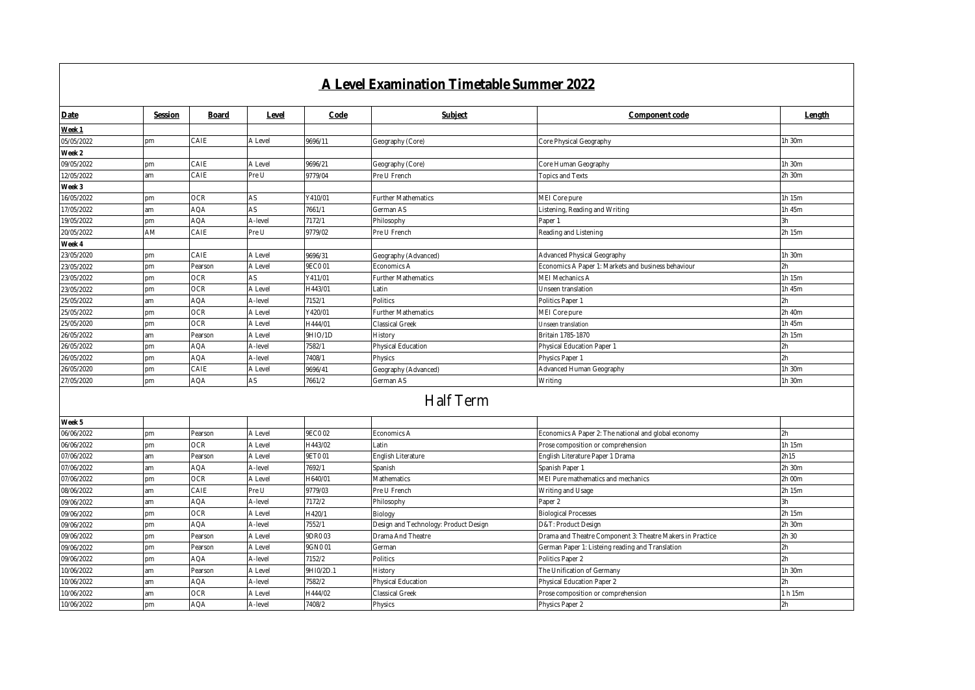|                          |                 |                    |                  |                    | A Level Examination Timetable Summer 2022        |                                                           |                  |
|--------------------------|-----------------|--------------------|------------------|--------------------|--------------------------------------------------|-----------------------------------------------------------|------------------|
| Date                     | Session         | Board              | Level            | Code               | Subject                                          | Component code                                            | Length           |
| Week 1                   |                 |                    |                  |                    |                                                  |                                                           |                  |
| 05/05/2022               | pm              | CAIE               | A Level          | 9696/11            | Geography (Core)                                 | Core Physical Geography                                   | 1h 30m           |
| Week 2                   |                 |                    |                  |                    |                                                  |                                                           |                  |
| 09/05/2022               | <b>pm</b>       | CAIE               | A Level          | 9696/21            | Geography (Core)                                 | Core Human Geography                                      | 1h 30m           |
| 12/05/2022               | am              | CAIE               | Pre U            | 9779/04            | Pre U French                                     | <b>Topics and Texts</b>                                   | 2h 30m           |
| Week 3                   |                 |                    |                  |                    |                                                  |                                                           |                  |
| 16/05/2022               | pm              | OCR                | AS               | Y410/01            | Further Mathematics                              | MEI Core pure                                             | 1h 15m           |
| 17/05/2022               | am              | AQA                | AS               | 7661/1             | German AS                                        | Listening, Reading and Writing                            | 1h 45m           |
| 19/05/2022               | pm              | AQA                | A-level          | 7172/1             | Philosophy                                       | Paper 1                                                   | 3h               |
| 20/05/2022               | AM              | CAIE               | Pre U            | 9779/02            | Pre U French                                     | Reading and Listening                                     | 2h 15m           |
| Week 4                   |                 |                    |                  |                    |                                                  |                                                           |                  |
| 23/05/2020               | pm              | CAIE               | A Level          | 9696/31            | Geography (Advanced)                             | Advanced Physical Geography                               | 1h 30m           |
| 23/05/2022               | pm              | Pearson            | A Level          | 9EC001             | Economics A                                      | Economics A Paper 1: Markets and business behaviour       | 2h               |
| 23/05/2022               | pm              | OCR                | AS               | Y411/01            | Further Mathematics                              | MEI Mechanics A                                           | 1h 15m           |
| 23/05/2022               | pm              | OCR                | A Level          | H443/01            | _atin                                            | Unseen translation                                        | 1h 45m           |
| 25/05/2022               | am              | AQA                | A-level          | 7152/1             | Politics                                         | Politics Paper 1                                          | 2h               |
| 25/05/2022               | pm              | <b>OCR</b>         | A Level          | Y420/01            | <b>Further Mathematics</b>                       | MEI Core pure                                             | 2h 40m           |
| 25/05/2020               | <b>pm</b>       | <b>OCR</b>         | A Level          | H444/01            | Classical Greek                                  | Unseen translation                                        | 1h 45m           |
| 26/05/2022               | am              | Pearson            | A Level          | 9HIO/1D            | History                                          | Britain 1785-1870                                         | 2h 15m           |
| 26/05/2022               | pm              | <b>AQA</b>         | A-level          | 7582/1             | Physical Education                               | Physical Education Paper 1                                | 2h               |
| 26/05/2022               | pm              | <b>AQA</b>         | A-level          | 7408/1             | Physics                                          | Physics Paper 1                                           | 2h               |
| 26/05/2020               | pm              | CAIE               | A Level          | 9696/41            | Geography (Advanced)                             | Advanced Human Geography                                  | 1h 30m           |
| 27/05/2020               | pm              | AQA                | AS               | 7661/2             | German AS                                        | Writing                                                   | 1h 30m           |
|                          |                 |                    |                  |                    | <b>Half Term</b>                                 |                                                           |                  |
| Week 5                   |                 |                    |                  |                    |                                                  |                                                           |                  |
| 06/06/2022               | pm              | Pearson            | A Level          | 9EC002             | Economics A                                      | Economics A Paper 2: The national and global economy      | 2h               |
| 06/06/2022               | pm              | <b>OCR</b>         | A Level          | H443/02<br>9ET001  | Latin                                            | Prose composition or comprehension                        | 1h 15m<br>2h15   |
| 07/06/2022               | am              | Pearson            | A Level          |                    | English Literature                               | English Literature Paper 1 Drama                          |                  |
| 07/06/2022               | am              | AQA                | A-level          | 7692/1             | Spanish                                          | Spanish Paper 1                                           | 2h 30m           |
| 07/06/2022               | pm              | <b>OCR</b><br>CAIE | A Level<br>Pre U | H640/01<br>9779/03 | Mathematics                                      | MEI Pure mathematics and mechanics                        | 2h 00m<br>2h 15m |
| 08/06/2022<br>09/06/2022 | am<br>am        | AQA                | A-level          | 7172/2             | Pre U French                                     | Writing and Usage<br>Paper 2                              | 3h               |
|                          |                 | <b>OCR</b>         | A Level          |                    | Philosophy                                       |                                                           | 2h 15m           |
| 09/06/2022<br>09/06/2022 | pm<br>pm        | <b>AQA</b>         | A-level          | H420/1<br>7552/1   | Biology<br>Design and Technology: Product Design | <b>Biological Processes</b><br>D&T: Product Design        | 2h 30m           |
|                          |                 |                    | A Level          | 9DR003             |                                                  |                                                           | 2h 30            |
| 09/06/2022               | pm<br><b>pm</b> | Pearson<br>Pearson | A Level          | 9GN001             | Drama And Theatre<br>German                      | Drama and Theatre Component 3: Theatre Makers in Practice | 2h               |
| 09/06/2022<br>09/06/2022 |                 | AQA                | A-level          | 7152/2             |                                                  | German Paper 1: Listeing reading and Translation          | 2h               |
| 10/06/2022               | pm<br>am        | Pearson            | A Level          | 9H10/2D.1          | Politics<br>History                              | Politics Paper 2<br>The Unification of Germany            | 1h 30m           |
| 10/06/2022               | am              | <b>AQA</b>         | A-level          | 7582/2             | Physical Education                               | Physical Education Paper 2                                | 2h               |
| 10/06/2022               | am              | OCR                | A Level          | H444/02            | Classical Greek                                  | Prose composition or comprehension                        | 1 h 15m          |
| 10/06/2022               | pm              | <b>AOA</b>         | A-level          | 7408/2             | Physics                                          | Physics Paper 2                                           | 2h               |
|                          |                 |                    |                  |                    |                                                  |                                                           |                  |